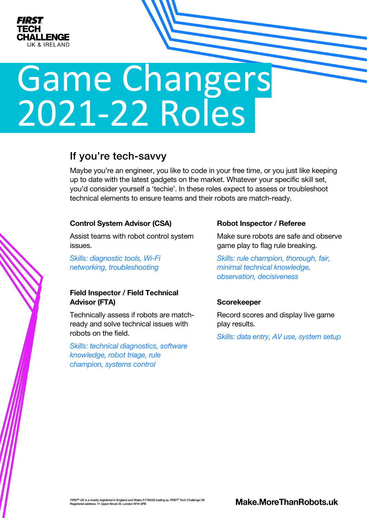

# Game Changers 2021-22 Roles

# If you're tech-savvy

Maybe you're an engineer, you like to code in your free time, or you just like keeping up to date with the latest gadgets on the market. Whatever your specific skill set, you'd consider yourself a 'techie'. In these roles expect to assess or troubleshoot technical elements to ensure teams and their robots are match-ready.

#### Control System Advisor (CSA)

Assist teams with robot control system issues.

*Skills: diagnostic tools, Wi-Fi networking, troubleshooting*

# Field Inspector / Field Technical Advisor (FTA)

Technically assess if robots are matchready and solve technical issues with robots on the field.

*Skills: technical diagnostics, software knowledge, robot triage, rule champion, systems control*

#### Robot Inspector / Referee

Make sure robots are safe and observe game play to flag rule breaking.

*Skills: rule champion, thorough, fair, minimal technical knowledge, observation, decisiveness*

# **Scorekeeper**

Record scores and display live game play results.

*Skills: data entry, AV use, system setup*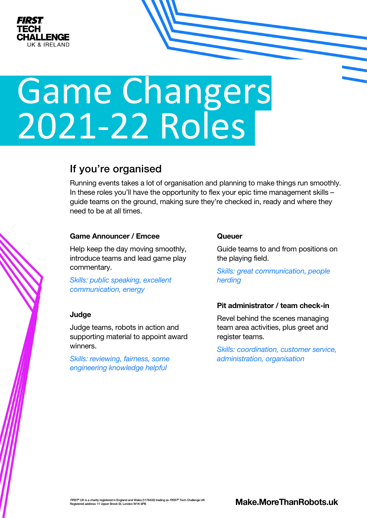

# Game Changers 2021-22 Roles

# If you're organised

Running events takes a lot of organisation and planning to make things run smoothly. In these roles you'll have the opportunity to flex your epic time management skills – guide teams on the ground, making sure they're checked in, ready and where they need to be at all times.

# Game Announcer / Emcee

Help keep the day moving smoothly, introduce teams and lead game play commentary.

*Skills: public speaking, excellent communication, energy* 

# **Judge**

Judge teams, robots in action and supporting material to appoint award winners.

*Skills: reviewing, fairness, some engineering knowledge helpful*

#### **Queuer**

Guide teams to and from positions on the playing field.

*Skills: great communication, people herding*

# Pit administrator / team check-in

Revel behind the scenes managing team area activities, plus greet and register teams.

*Skills: coordination, customer service, administration, organisation*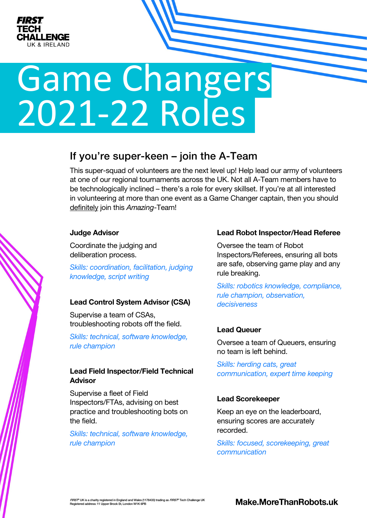

# Game Changers 2021-22 Roles

# If you're super-keen – join the A-Team

This super-squad of volunteers are the next level up! Help lead our army of volunteers at one of our regional tournaments across the UK. Not all A-Team members have to be technologically inclined – there's a role for every skillset. If you're at all interested in volunteering at more than one event as a Game Changer captain, then you should definitely join this *Amazing*-Team!

#### Judge Advisor

Coordinate the judging and deliberation process.

*Skills: coordination, facilitation, judging knowledge, script writing*

# Lead Control System Advisor (CSA)

Supervise a team of CSAs, troubleshooting robots off the field.

*Skills: technical, software knowledge, rule champion*

# Lead Field Inspector/Field Technical Advisor

Supervise a fleet of Field Inspectors/FTAs, advising on best practice and troubleshooting bots on the field.

*Skills: technical, software knowledge, rule champion*

#### Lead Robot Inspector/Head Referee

Oversee the team of Robot Inspectors/Referees, ensuring all bots are safe, observing game play and any rule breaking.

*Skills: robotics knowledge, compliance, rule champion, observation, decisiveness*

# Lead Queuer

Oversee a team of Queuers, ensuring no team is left behind.

*Skills: herding cats, great communication, expert time keeping*

# Lead Scorekeeper

Keep an eye on the leaderboard, ensuring scores are accurately recorded.

*Skills: focused, scorekeeping, great communication*